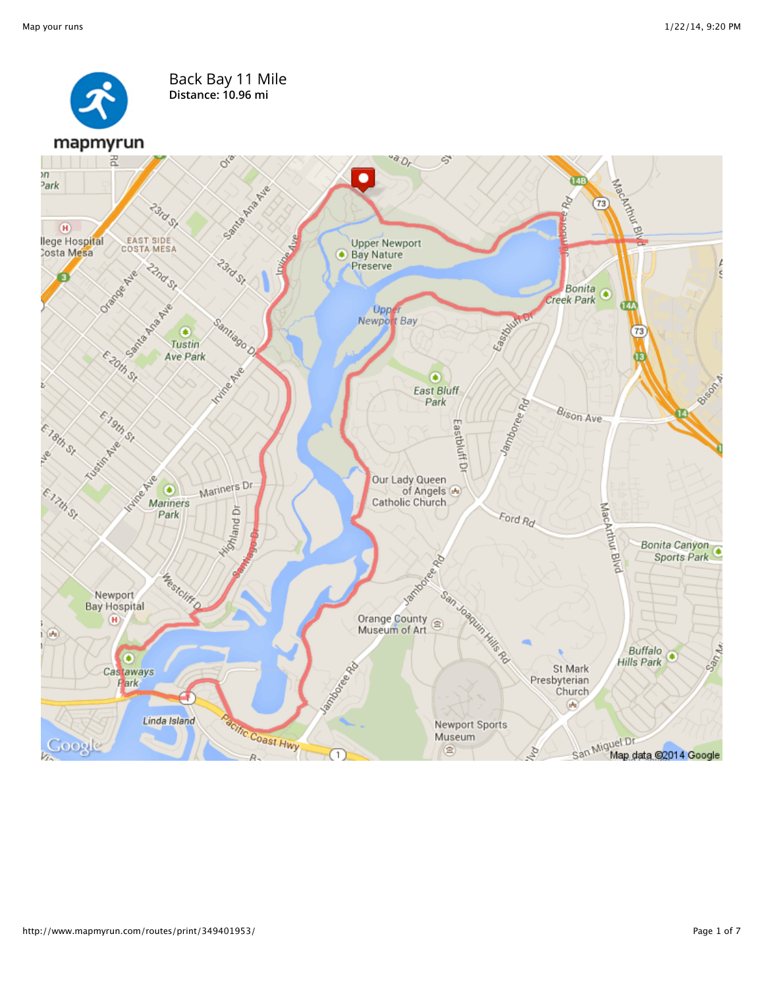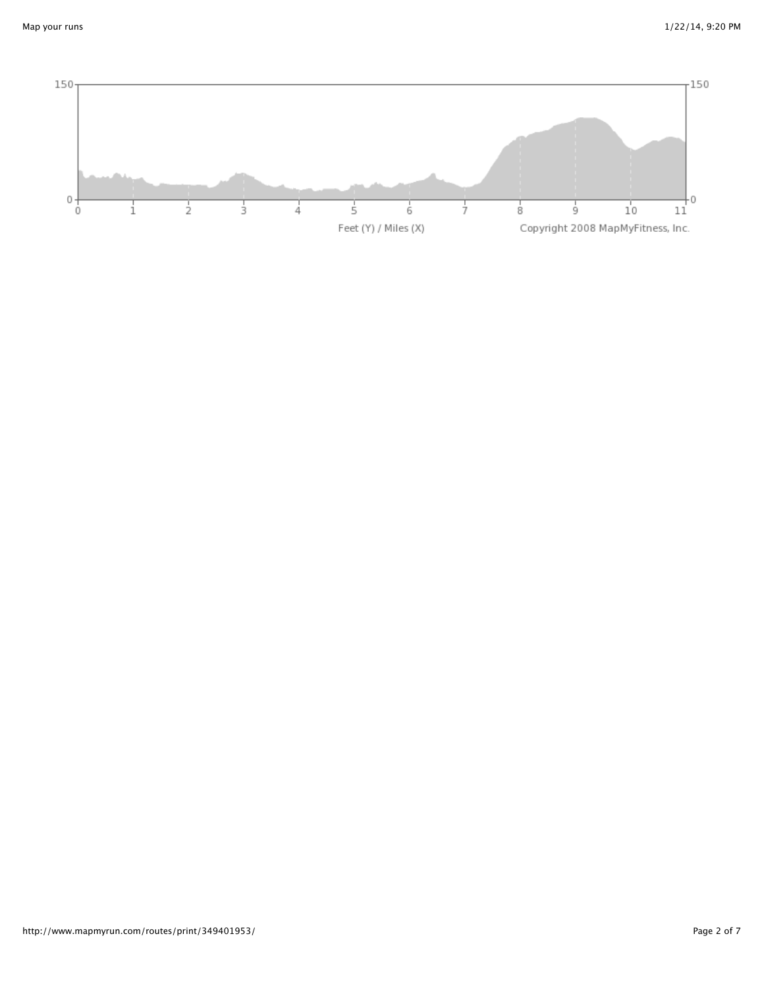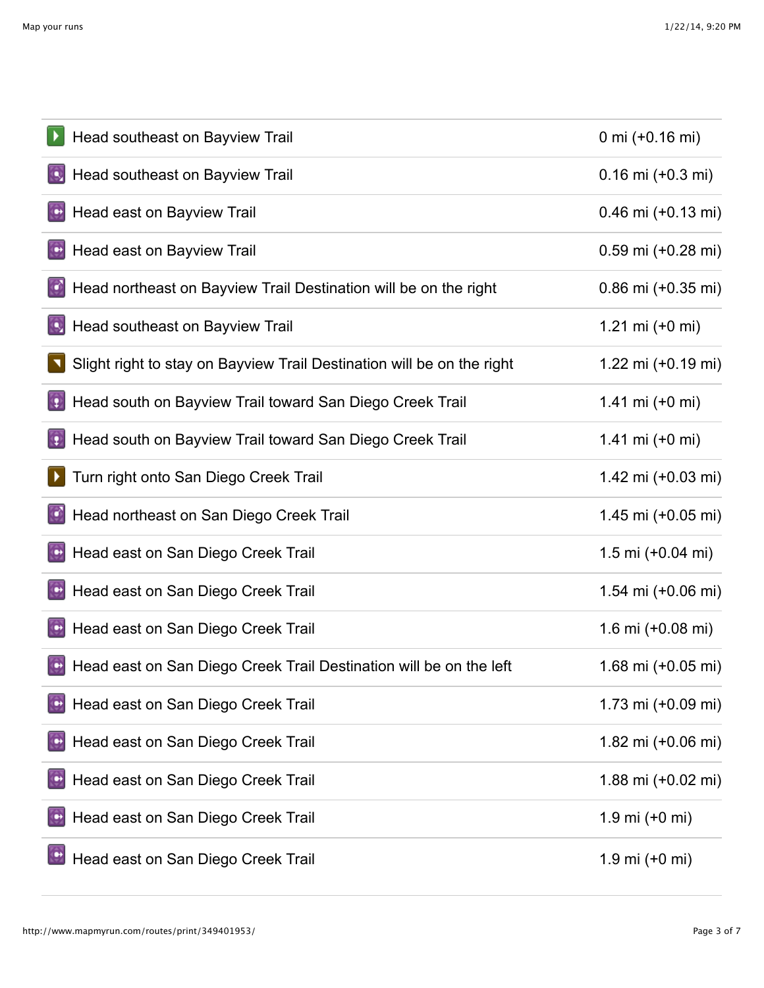| Head southeast on Bayview Trail                                        | 0 mi (+0.16 mi)                  |
|------------------------------------------------------------------------|----------------------------------|
| Head southeast on Bayview Trail                                        | $0.16$ mi (+0.3 mi)              |
| Head east on Bayview Trail                                             | 0.46 mi (+0.13 mi)               |
| Head east on Bayview Trail                                             | $0.59$ mi $(+0.28$ mi)           |
| Head northeast on Bayview Trail Destination will be on the right       | $0.86$ mi $(+0.35$ mi)           |
| Head southeast on Bayview Trail                                        | 1.21 mi (+0 mi)                  |
| Slight right to stay on Bayview Trail Destination will be on the right | 1.22 mi (+0.19 mi)               |
| Head south on Bayview Trail toward San Diego Creek Trail               | 1.41 mi $(+0$ mi)                |
| Head south on Bayview Trail toward San Diego Creek Trail               | 1.41 mi $(+0$ mi)                |
| Turn right onto San Diego Creek Trail                                  | 1.42 mi (+0.03 mi)               |
| Head northeast on San Diego Creek Trail                                | 1.45 mi (+0.05 mi)               |
| Head east on San Diego Creek Trail                                     | 1.5 mi (+0.04 mi)                |
| Head east on San Diego Creek Trail                                     | 1.54 mi (+0.06 mi)               |
| Head east on San Diego Creek Trail                                     | 1.6 mi (+0.08 mi)                |
| Head east on San Diego Creek Trail Destination will be on the left     | 1.68 mi (+0.05 mi)               |
| Head east on San Diego Creek Trail                                     | 1.73 mi (+0.09 mi)               |
| Head east on San Diego Creek Trail                                     | 1.82 mi (+0.06 mi)               |
| Head east on San Diego Creek Trail                                     | 1.88 mi (+0.02 mi)               |
| Head east on San Diego Creek Trail                                     | $1.9 \text{ mi} (+0 \text{ mi})$ |
| Head east on San Diego Creek Trail                                     | 1.9 mi $(+0$ mi)                 |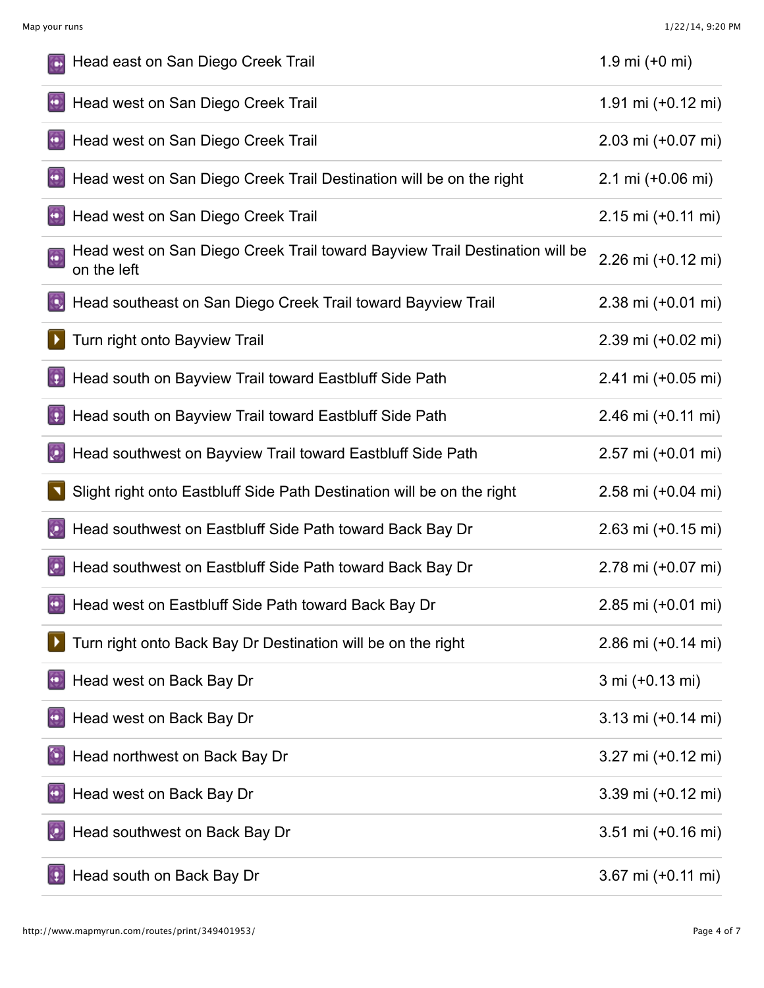| Head east on San Diego Creek Trail                                                                           | 1.9 mi $(+0$ mi)                    |
|--------------------------------------------------------------------------------------------------------------|-------------------------------------|
| Head west on San Diego Creek Trail                                                                           | 1.91 mi (+0.12 mi)                  |
| Head west on San Diego Creek Trail                                                                           | 2.03 mi (+0.07 mi)                  |
| Head west on San Diego Creek Trail Destination will be on the right                                          | $2.1 \text{ mi} (+0.06 \text{ mi})$ |
| Head west on San Diego Creek Trail                                                                           | 2.15 mi (+0.11 mi)                  |
| Head west on San Diego Creek Trail toward Bayview Trail Destination will be<br>$\blacksquare$<br>on the left | 2.26 mi (+0.12 mi)                  |
| Head southeast on San Diego Creek Trail toward Bayview Trail                                                 | 2.38 mi (+0.01 mi)                  |
| Turn right onto Bayview Trail                                                                                | 2.39 mi (+0.02 mi)                  |
| Head south on Bayview Trail toward Eastbluff Side Path                                                       | 2.41 mi (+0.05 mi)                  |
| Head south on Bayview Trail toward Eastbluff Side Path                                                       | 2.46 mi (+0.11 mi)                  |
| Head southwest on Bayview Trail toward Eastbluff Side Path                                                   | 2.57 mi (+0.01 mi)                  |
| Slight right onto Eastbluff Side Path Destination will be on the right                                       | 2.58 mi (+0.04 mi)                  |
| Head southwest on Eastbluff Side Path toward Back Bay Dr                                                     | 2.63 mi (+0.15 mi)                  |
| Head southwest on Eastbluff Side Path toward Back Bay Dr                                                     | 2.78 mi (+0.07 mi)                  |
| $\bullet$<br>Head west on Eastbluff Side Path toward Back Bay Dr                                             | 2.85 mi (+0.01 mi)                  |
| Turn right onto Back Bay Dr Destination will be on the right                                                 | 2.86 mi (+0.14 mi)                  |
| Head west on Back Bay Dr                                                                                     | 3 mi (+0.13 mi)                     |
| Head west on Back Bay Dr                                                                                     | 3.13 mi (+0.14 mi)                  |
| Head northwest on Back Bay Dr                                                                                | 3.27 mi (+0.12 mi)                  |
| Head west on Back Bay Dr                                                                                     | 3.39 mi (+0.12 mi)                  |
| Head southwest on Back Bay Dr                                                                                | 3.51 mi (+0.16 mi)                  |
| Head south on Back Bay Dr                                                                                    | 3.67 mi (+0.11 mi)                  |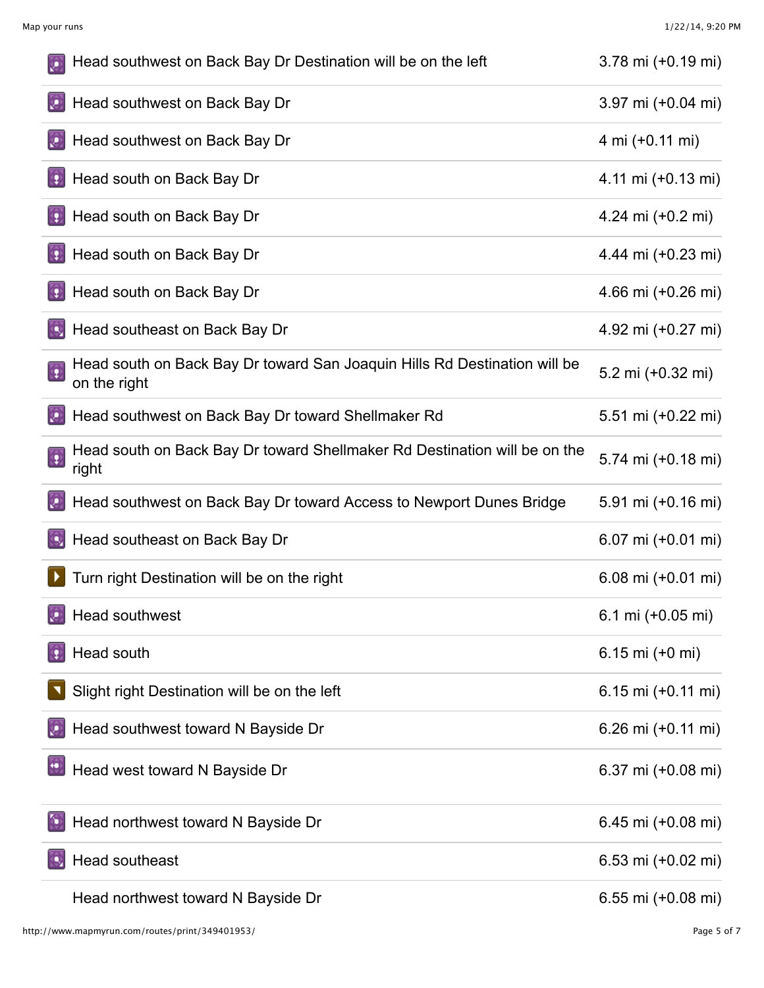| Head southwest on Back Bay Dr Destination will be on the left                                                        | 3.78 mi (+0.19 mi) |
|----------------------------------------------------------------------------------------------------------------------|--------------------|
| Head southwest on Back Bay Dr                                                                                        | 3.97 mi (+0.04 mi) |
| Head southwest on Back Bay Dr                                                                                        | 4 mi (+0.11 mi)    |
| Head south on Back Bay Dr                                                                                            | 4.11 mi (+0.13 mi) |
| Head south on Back Bay Dr                                                                                            | 4.24 mi (+0.2 mi)  |
| Head south on Back Bay Dr                                                                                            | 4.44 mi (+0.23 mi) |
| Head south on Back Bay Dr                                                                                            | 4.66 mi (+0.26 mi) |
| Head southeast on Back Bay Dr<br>IR.                                                                                 | 4.92 mi (+0.27 mi) |
| Head south on Back Bay Dr toward San Joaquin Hills Rd Destination will be<br>$\overline{\mathbf{R}}$<br>on the right | 5.2 mi (+0.32 mi)  |
| Head southwest on Back Bay Dr toward Shellmaker Rd                                                                   | 5.51 mi (+0.22 mi) |
| Head south on Back Bay Dr toward Shellmaker Rd Destination will be on the<br>$\sqrt{2}$<br>right                     | 5.74 mi (+0.18 mi) |
|                                                                                                                      |                    |
| Head southwest on Back Bay Dr toward Access to Newport Dunes Bridge                                                  | 5.91 mi (+0.16 mi) |
| Head southeast on Back Bay Dr                                                                                        | 6.07 mi (+0.01 mi) |
| Turn right Destination will be on the right                                                                          | 6.08 mi (+0.01 mi) |
| Head southwest                                                                                                       | 6.1 mi (+0.05 mi)  |
| Head south                                                                                                           | 6.15 mi (+0 mi)    |
| Slight right Destination will be on the left                                                                         | 6.15 mi (+0.11 mi) |
| Head southwest toward N Bayside Dr                                                                                   | 6.26 mi (+0.11 mi) |
| Head west toward N Bayside Dr                                                                                        | 6.37 mi (+0.08 mi) |
| Head northwest toward N Bayside Dr                                                                                   | 6.45 mi (+0.08 mi) |
| Head southeast                                                                                                       | 6.53 mi (+0.02 mi) |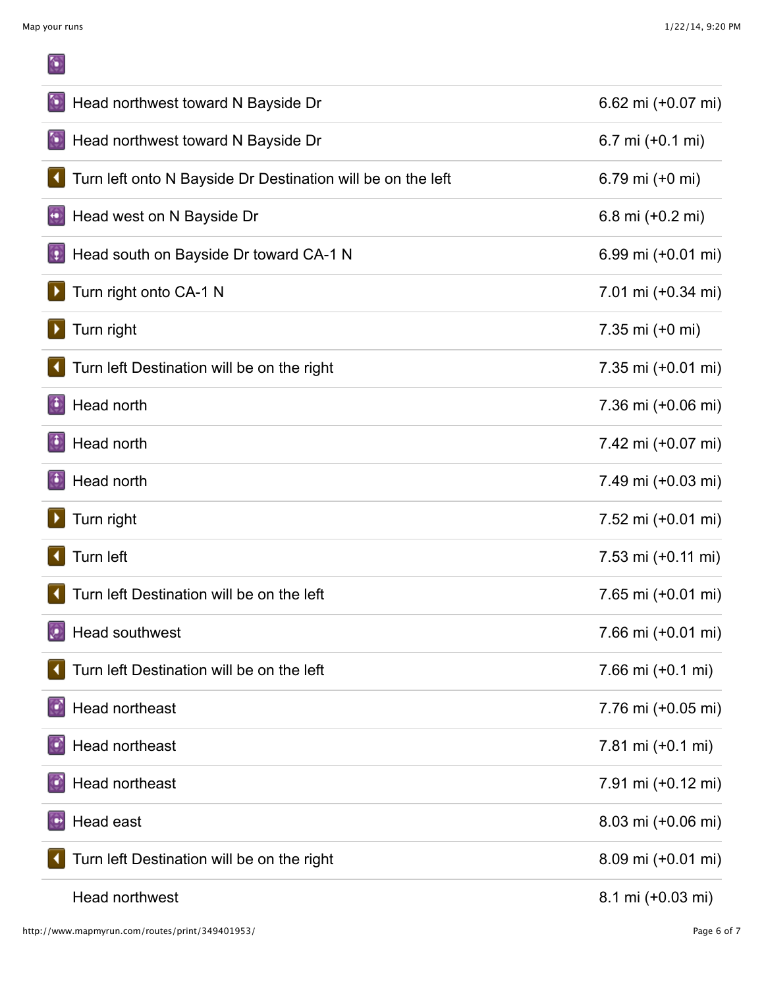| 简                                                           |                    |
|-------------------------------------------------------------|--------------------|
| N.<br>Head northwest toward N Bayside Dr                    | 6.62 mi (+0.07 mi) |
| Head northwest toward N Bayside Dr                          | 6.7 mi (+0.1 mi)   |
| Turn left onto N Bayside Dr Destination will be on the left | 6.79 mi (+0 mi)    |
| Head west on N Bayside Dr                                   | 6.8 mi (+0.2 mi)   |
| Head south on Bayside Dr toward CA-1 N                      | 6.99 mi (+0.01 mi) |
| Turn right onto CA-1 N                                      | 7.01 mi (+0.34 mi) |
| Turn right                                                  | 7.35 mi (+0 mi)    |
| Turn left Destination will be on the right                  | 7.35 mi (+0.01 mi) |
| Head north                                                  | 7.36 mi (+0.06 mi) |
| Head north                                                  | 7.42 mi (+0.07 mi) |
| Head north                                                  | 7.49 mi (+0.03 mi) |
| Turn right                                                  | 7.52 mi (+0.01 mi) |
| Turn left                                                   | 7.53 mi (+0.11 mi) |
| Turn left Destination will be on the left                   | 7.65 mi (+0.01 mi) |
| Head southwest                                              | 7.66 mi (+0.01 mi) |
| Turn left Destination will be on the left                   | 7.66 mi (+0.1 mi)  |
| Head northeast                                              | 7.76 mi (+0.05 mi) |
| <b>Head northeast</b>                                       | 7.81 mi (+0.1 mi)  |
| Head northeast                                              | 7.91 mi (+0.12 mi) |
| Head east                                                   | 8.03 mi (+0.06 mi) |
| Turn left Destination will be on the right                  | 8.09 mi (+0.01 mi) |
| Head northwest                                              | 8.1 mi (+0.03 mi)  |